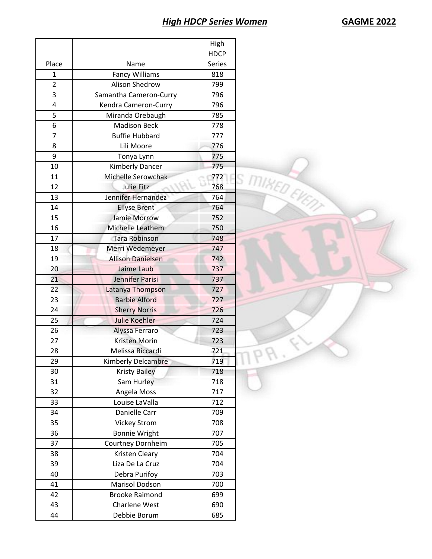|                |                          | High          |               |
|----------------|--------------------------|---------------|---------------|
|                |                          | <b>HDCP</b>   |               |
| Place          | Name                     | <b>Series</b> |               |
| 1              | <b>Fancy Williams</b>    | 818           |               |
| $\overline{2}$ | Alison Shedrow           | 799           |               |
| 3              | Samantha Cameron-Curry   | 796           |               |
| 4              | Kendra Cameron-Curry     | 796           |               |
| 5              | Miranda Orebaugh         | 785           |               |
| 6              | <b>Madison Beck</b>      | 778           |               |
| $\overline{7}$ | <b>Buffie Hubbard</b>    | 777           |               |
| 8              | Lili Moore               | 776           |               |
| 9              | Tonya Lynn               | 775           |               |
| 10             | Kimberly Dancer          | 775           | S MIKED EVENT |
| 11             | Michelle Serowchak       | 772           |               |
| 12             | Julie Fitz               | 768           |               |
| 13             | Jennifer Hernandez       | 764           |               |
| 14             | <b>Ellyse Brent</b>      | 764           |               |
| 15             | Jamie Morrow             | 752           |               |
| 16             | Michelle Leathem         | 750           |               |
| 17             | <b>Tara Robinson</b>     | 748           |               |
| 18             | Merri Wedemeyer          | 747           |               |
| 19             | <b>Allison Danielsen</b> | 742           |               |
| 20             | Jaime Laub               | 737           |               |
| 21             | Jennifer Parisi          | 737           |               |
| 22             | Latanya Thompson         | 727           |               |
| 23             | <b>Barbie Alford</b>     | 727           |               |
| 24             | <b>Sherry Norris</b>     | 726           |               |
| 25             | <b>Julie Koehler</b>     | 724           |               |
| 26             | Alyssa Ferraro           | 723           |               |
| 27             | Kristen Morin            | 723           |               |
| 28             | Melissa Riccardi         | 721           |               |
| 29             | Kimberly Delcambre       | 719           | v             |
| 30             | <b>Kristy Bailey</b>     | 718           |               |
| 31             | Sam Hurley               | 718           |               |
| 32             | Angela Moss              | 717           |               |
| 33             | Louise LaValla           | 712           |               |
| 34             | Danielle Carr            | 709           |               |
| 35             | <b>Vickey Strom</b>      | 708           |               |
| 36             | <b>Bonnie Wright</b>     | 707           |               |
| 37             | Courtney Dornheim        | 705           |               |
| 38             | Kristen Cleary           | 704           |               |
| 39             | Liza De La Cruz          | 704           |               |
| 40             | Debra Purifoy            | 703           |               |
| 41             | Marisol Dodson           | 700           |               |
| 42             | <b>Brooke Raimond</b>    | 699           |               |
| 43             | Charlene West            | 690           |               |
| 44             | Debbie Borum             | 685           |               |